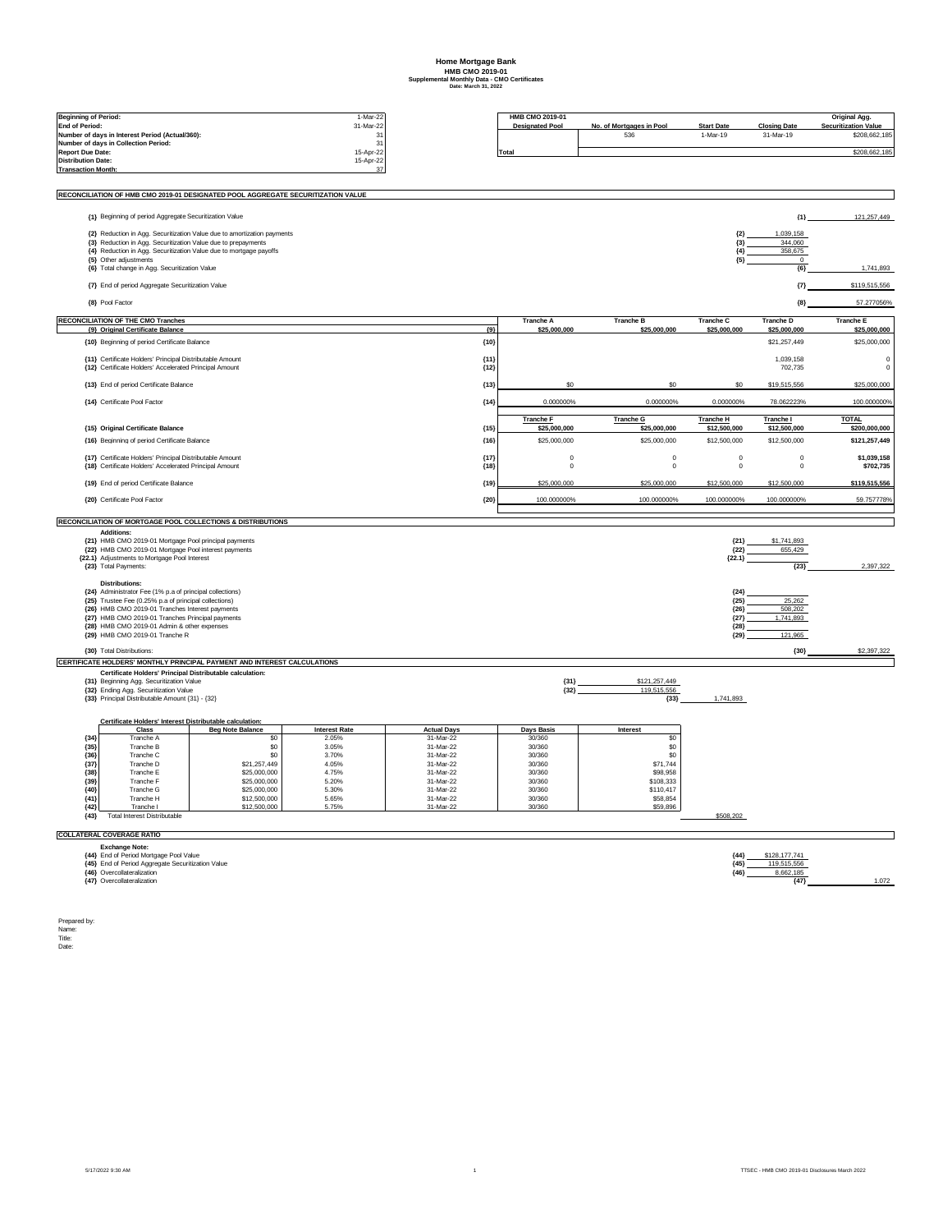## **Home Mortgage Bank HMB CMO 2019-01 Supplemental Monthly Data - CMO Certificates Date: March 31, 2022**

| <b>Beginning of Period:</b>                                              |                                                                                                                           |                                                                                  | 1-Mar-22                      |                                 |                  | HMB CMO 2019-01        |                          |                          |                                           | Original Agg.                |
|--------------------------------------------------------------------------|---------------------------------------------------------------------------------------------------------------------------|----------------------------------------------------------------------------------|-------------------------------|---------------------------------|------------------|------------------------|--------------------------|--------------------------|-------------------------------------------|------------------------------|
| <b>End of Period:</b><br>Number of days in Interest Period (Actual/360): |                                                                                                                           |                                                                                  |                               | 31-Mar-22                       |                  | <b>Designated Pool</b> | No. of Mortgages in Pool | <b>Start Date</b>        | <b>Closing Date</b>                       | <b>Securitization Value</b>  |
|                                                                          | Number of days in Collection Period:                                                                                      |                                                                                  |                               | 31<br>31                        |                  |                        | 536                      | 1-Mar-19                 | 31-Mar-19                                 | \$208,662,185                |
| <b>Report Due Date:</b><br><b>Distribution Date:</b>                     |                                                                                                                           |                                                                                  | 15-Apr-22<br>15-Apr-22        |                                 | Total            |                        |                          |                          |                                           | \$208,662,185                |
| <b>Transaction Month:</b>                                                |                                                                                                                           |                                                                                  |                               | 37                              |                  |                        |                          |                          |                                           |                              |
|                                                                          |                                                                                                                           |                                                                                  |                               |                                 |                  |                        |                          |                          |                                           |                              |
|                                                                          |                                                                                                                           | RECONCILIATION OF HMB CMO 2019-01 DESIGNATED POOL AGGREGATE SECURITIZATION VALUE |                               |                                 |                  |                        |                          |                          |                                           |                              |
|                                                                          | {1} Beginning of period Aggregate Securitization Value                                                                    |                                                                                  |                               |                                 |                  |                        |                          |                          | ${1}$                                     | 121,257,449                  |
|                                                                          |                                                                                                                           | {2} Reduction in Agg. Securitization Value due to amortization payments          |                               |                                 |                  |                        |                          | ${2}$                    | 1,039,158                                 |                              |
|                                                                          | {3} Reduction in Agg. Securitization Value due to prepayments                                                             |                                                                                  |                               |                                 |                  |                        |                          | ${3}$<br>${4}$           | 344,060<br>358,675                        |                              |
|                                                                          | {4} Reduction in Agg. Securitization Value due to mortgage payoffs<br>{5} Other adjustments                               |                                                                                  |                               |                                 |                  |                        |                          | ${5}$                    | $^{\circ}$                                |                              |
|                                                                          | {6} Total change in Agg. Securitization Value                                                                             |                                                                                  |                               |                                 |                  |                        |                          |                          | ${6}$                                     | 1,741,893                    |
|                                                                          | {7} End of period Aggregate Securitization Value                                                                          |                                                                                  |                               |                                 |                  |                        |                          |                          | ${7}$                                     | \$119,515,556                |
|                                                                          | {8} Pool Factor                                                                                                           |                                                                                  |                               |                                 |                  |                        |                          |                          | ${8}$                                     | 57.277056%                   |
|                                                                          | <b>RECONCILIATION OF THE CMO Tranches</b>                                                                                 |                                                                                  |                               |                                 |                  | <b>Tranche A</b>       | <b>Tranche B</b>         | <b>Tranche C</b>         | <b>Tranche D</b>                          | <b>Tranche E</b>             |
|                                                                          | {9} Original Certificate Balance<br>{10} Beginning of period Certificate Balance                                          |                                                                                  |                               |                                 | ${9}$<br>${10}$  | \$25,000,000           | \$25,000,000             | \$25,000,000             | \$25,000,000<br>\$21.257.449              | \$25,000,000<br>\$25,000,000 |
|                                                                          |                                                                                                                           |                                                                                  |                               |                                 |                  |                        |                          |                          |                                           |                              |
|                                                                          | {11} Certificate Holders' Principal Distributable Amount<br>{12} Certificate Holders' Accelerated Principal Amount        |                                                                                  |                               |                                 | ${11}$<br>${12}$ |                        |                          |                          | 1,039,158<br>702,735                      | 0<br>$\mathbf 0$             |
|                                                                          | {13} End of period Certificate Balance                                                                                    |                                                                                  |                               |                                 | ${13}$           | s٢                     |                          |                          | \$19,515,556                              | \$25,000,000                 |
|                                                                          | {14} Certificate Pool Factor                                                                                              |                                                                                  |                               |                                 | ${14}$           | 0.000000%              | 0.000000%                | 0.000000%                | 78.062223%                                | 100.000000%                  |
|                                                                          |                                                                                                                           |                                                                                  |                               |                                 |                  | <b>Tranche F</b>       | <b>Tranche G</b>         | <b>Tranche H</b>         | Tranche I                                 | <b>TOTAL</b>                 |
|                                                                          | {15} Original Certificate Balance                                                                                         |                                                                                  |                               |                                 | ${15}$           | \$25,000,000           | \$25,000,000             | \$12,500,000             | \$12,500,000                              | \$200,000,000                |
|                                                                          | {16} Beginning of period Certificate Balance                                                                              |                                                                                  |                               |                                 | ${16}$           | \$25,000,000           | \$25,000,000             | \$12,500,000             | \$12,500,000                              | \$121,257,449                |
|                                                                          | {17} Certificate Holders' Principal Distributable Amount<br>{18} Certificate Holders' Accelerated Principal Amount        |                                                                                  |                               |                                 | ${17}$<br>${18}$ | $\Omega$<br>0          | $\mathbf 0$<br>$\pmb{0}$ | $\mathbf 0$<br>$\pmb{0}$ | $\mathbf 0$<br>$\mathbf 0$                | \$1,039,158<br>\$702,735     |
|                                                                          | {19} End of period Certificate Balance                                                                                    |                                                                                  |                               |                                 | (19)             | \$25,000,000           | \$25,000,000             | \$12,500,000             | \$12,500,000                              | \$119,515,556                |
|                                                                          | {20} Certificate Pool Factor                                                                                              |                                                                                  |                               |                                 | ${20}$           | 100.000000%            | 100.000000%              | 100.000000%              | 100.000000%                               | 59.757778%                   |
|                                                                          |                                                                                                                           | RECONCILIATION OF MORTGAGE POOL COLLECTIONS & DISTRIBUTIONS                      |                               |                                 |                  |                        |                          |                          |                                           |                              |
|                                                                          | <b>Additions:</b>                                                                                                         |                                                                                  |                               |                                 |                  |                        |                          |                          |                                           |                              |
|                                                                          | {21} HMB CMO 2019-01 Mortgage Pool principal payments<br>{22} HMB CMO 2019-01 Mortgage Pool interest payments             |                                                                                  |                               |                                 |                  |                        |                          | ${21}$<br>${22}$         | \$1,741,893<br>655.429                    |                              |
|                                                                          | {22.1} Adjustments to Mortgage Pool Interest<br>{23} Total Payments:                                                      |                                                                                  |                               |                                 |                  |                        |                          | ${22.1}$                 | ${23}$                                    | 2,397,322                    |
|                                                                          |                                                                                                                           |                                                                                  |                               |                                 |                  |                        |                          |                          |                                           |                              |
|                                                                          | <b>Distributions:</b><br>{24} Administrator Fee (1% p.a of principal collections)                                         |                                                                                  |                               |                                 |                  |                        |                          | ${24}$                   |                                           |                              |
|                                                                          | {25} Trustee Fee (0.25% p.a of principal collections)<br>{26} HMB CMO 2019-01 Tranches Interest payments                  |                                                                                  |                               |                                 |                  |                        |                          | (25)<br>${26}$           | 25,262<br>508,202                         |                              |
|                                                                          | {27} HMB CMO 2019-01 Tranches Principal payments                                                                          |                                                                                  |                               |                                 |                  |                        |                          | ${27}$                   | 1,741,893                                 |                              |
|                                                                          | {28} HMB CMO 2019-01 Admin & other expenses<br>{29} HMB CMO 2019-01 Tranche R                                             |                                                                                  |                               |                                 |                  |                        |                          | (28)<br>${29}$           | 121,965                                   |                              |
|                                                                          | {30} Total Distributions:                                                                                                 |                                                                                  |                               |                                 |                  |                        |                          |                          | ${30}$                                    | \$2,397,322                  |
|                                                                          |                                                                                                                           | CERTIFICATE HOLDERS' MONTHLY PRINCIPAL PAYMENT AND INTEREST CALCULATIONS         |                               |                                 |                  |                        |                          |                          |                                           |                              |
|                                                                          | Certificate Holders' Principal Distributable calculation:<br>{31} Beginning Agg. Securitization Value                     |                                                                                  |                               |                                 |                  | ${31}$                 | \$121,257,449            |                          |                                           |                              |
|                                                                          | {32} Ending Agg. Securitization Value                                                                                     |                                                                                  |                               |                                 |                  | ${32}$                 | 119,515,556              |                          |                                           |                              |
|                                                                          | {33} Principal Distributable Amount {31} - {32}                                                                           |                                                                                  |                               |                                 |                  |                        | ${33}$                   | 1,741,893                |                                           |                              |
|                                                                          | Certificate Holders' Interest Distributable calculation:                                                                  |                                                                                  |                               |                                 |                  |                        |                          |                          |                                           |                              |
| ${34}$                                                                   | Class<br>Tranche A                                                                                                        | <b>Beg Note Balance</b><br>\$0                                                   | <b>Interest Rate</b><br>2.05% | <b>Actual Days</b><br>31-Mar-22 |                  | Days Basis<br>30/360   | Interest<br>\$0          |                          |                                           |                              |
| ${35}$                                                                   | Tranche B                                                                                                                 | \$0                                                                              | 3.05%                         | 31-Mar-22                       |                  | 30/360                 | \$0                      |                          |                                           |                              |
| (36)                                                                     | Tranche C<br>Tranche D                                                                                                    | S <sub>0</sub>                                                                   | 3.70%<br>4.05%                | 31-Mar-22                       |                  | 30/360<br>30/360       | \$0<br>\$71,744          |                          |                                           |                              |
| (37)<br>(38)                                                             | Tranche E                                                                                                                 | \$21,257,449<br>\$25,000,000                                                     | 4.75%                         | 31-Mar-22<br>31-Mar-22          |                  | 30/360                 | \$98,958                 |                          |                                           |                              |
| (39)                                                                     | Tranche F                                                                                                                 | \$25,000,000                                                                     | 5.20%                         | 31-Mar-22                       |                  | 30/360                 | \$108,333                |                          |                                           |                              |
| ${40}$<br>${41}$                                                         | Tranche G<br>Tranche H                                                                                                    | \$25,000,000<br>\$12,500,000                                                     | 5.30%<br>5.65%                | 31-Mar-22<br>31-Mar-22          |                  | 30/360<br>30/360       | \$110,417<br>\$58,854    |                          |                                           |                              |
| (42)                                                                     | Tranche I                                                                                                                 | \$12,500,000                                                                     | 5.75%                         | 31-Mar-22                       |                  | 30/360                 | \$59,896                 |                          |                                           |                              |
| ${43}$                                                                   | <b>Total Interest Distributable</b>                                                                                       |                                                                                  |                               |                                 |                  |                        |                          | \$508,202                |                                           |                              |
|                                                                          | <b>COLLATERAL COVERAGE RATIO</b>                                                                                          |                                                                                  |                               |                                 |                  |                        |                          |                          |                                           |                              |
|                                                                          | <b>Exchange Note:</b>                                                                                                     |                                                                                  |                               |                                 |                  |                        |                          |                          |                                           |                              |
|                                                                          |                                                                                                                           |                                                                                  |                               |                                 |                  |                        |                          | ${44}$                   |                                           |                              |
|                                                                          | {44} End of Period Mortgage Pool Value<br>{45} End of Period Aggregate Securitization Value<br>{46} Overcollateralization |                                                                                  |                               |                                 |                  |                        |                          | ${45}$<br>${46}$         | \$128,177,741<br>119,515,556<br>8,662,185 |                              |